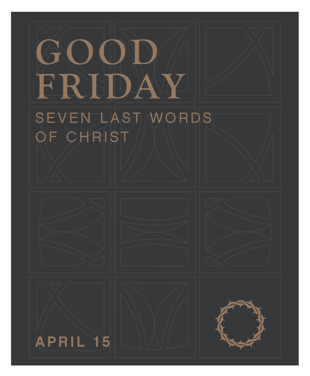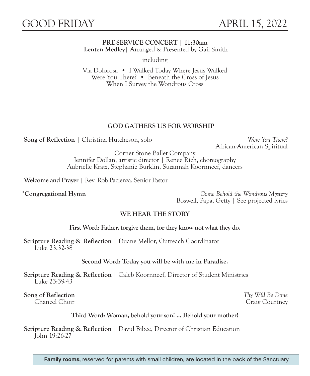### **PRE-SERVICE CONCERT | 11:30am Lenten Medley**| Arranged & Presented by Gail Smith

including

Via Dolorosa • I Walked Today Where Jesus Walked Were You There? • Beneath the Cross of Jesus When I Survey the Wondrous Cross

# **GOD GATHERS US FOR WORSHIP**

**Song of Reflection** | Christina Hutcheson, solo *Were You There?*

African-American Spiritual

Corner Stone Ballet Company Jennifer Dollan, artistic director | Renee Rich, choreography Aubrielle Kratz, Stephanie Burklin, Suzannah Koornneef, dancers

**Welcome and Prayer** | Rev. Rob Pacienza, Senior Pastor

**\*Congregational Hymn** *Come Behold the Wondrous Mystery* Boswell, Papa, Getty | See projected lyrics

### **WE HEAR THE STORY**

**First Word: Father, forgive them, for they know not what they do.**

**Scripture Reading & Reflection** | Duane Mellor, Outreach Coordinator Luke 23:32-38

**Second Word: Today you will be with me in Paradise.**

**Scripture Reading & Reflection** | Caleb Koornneef, Director of Student Ministries Luke 23:39-43

**Song of Reflection** *Thy Will Be Done*

Craig Courtney

### **Third Word: Woman, behold your son! ... Behold your mother!**

**Scripture Reading & Reflection** | David Bibee, Director of Christian Education John 19:26-27

Family rooms, reserved for parents with small children, are located in the back of the Sanctuary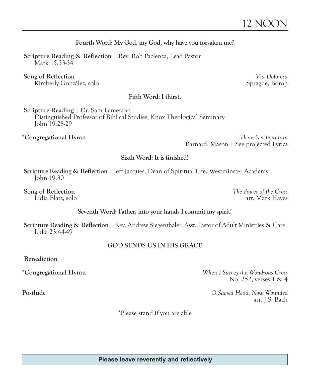# **Fourth Word: My God, my God, why have you forsaken me?**

**Scripture Reading & Reflection** | Rev. Rob Pacienza, Lead Pastor Mark 15:33-34

 **Song of Reflection** *Via Dolorosa* Kimberly González, solo

# **Fifth Word: I thirst.**

**Scripture Reading** | Dr. Sam Lamerson Distinguished Professor of Biblical Studies, Knox Theological Seminary John 19:28-29

**\*Congregational Hymn** *There Is a Fountain* Barnard, Mason | See projected Lyrics

# **Sixth Word: It is finished!**

**Scripture Reading & Reflection** | Jeff Jacques, Dean of Spiritual Life, Westminster Academy John 19:30

**Song of Reflection** *The Power of the Cross*

Lidia Blatz, solo arr. Mark Hayes

### **Seventh Word: Father, into your hands I commit my spirit!**

**Scripture Reading & Reflection** | Rev. Andrew Siegenthaler, Asst. Pastor of Adult Ministries & Care Luke 23:44-49

### **GOD SENDS US IN HIS GRACE**

**Benediction**

**\*Congregational Hymn** *When I Survey the Wondrous Cross* No. 252, verses 1 & 4

**Postlude** *O Sacred Head, Now Wounded* arr. J.S. Bach

\*Please stand if you are able